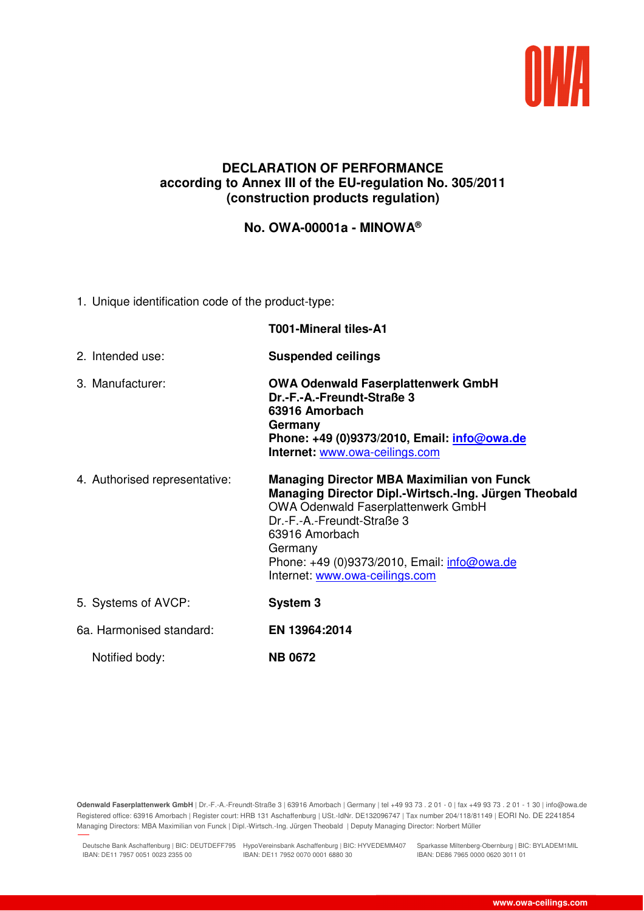

## **DECLARATION OF PERFORMANCE according to Annex III of the EU-regulation No. 305/2011 (construction products regulation)**

**No. OWA-00001a - MINOWA®**

1. Unique identification code of the product-type:

|                               | T001-Mineral tiles-A1                                                                                                                                                                                                                                                                               |
|-------------------------------|-----------------------------------------------------------------------------------------------------------------------------------------------------------------------------------------------------------------------------------------------------------------------------------------------------|
| 2. Intended use:              | <b>Suspended ceilings</b>                                                                                                                                                                                                                                                                           |
| 3. Manufacturer:              | <b>OWA Odenwald Faserplattenwerk GmbH</b><br>Dr.-F.-A.-Freundt-Straße 3<br>63916 Amorbach<br>Germany<br>Phone: +49 (0)9373/2010, Email: info@owa.de<br>Internet: www.owa-ceilings.com                                                                                                               |
| 4. Authorised representative: | <b>Managing Director MBA Maximilian von Funck</b><br>Managing Director Dipl.-Wirtsch.-Ing. Jürgen Theobald<br><b>OWA Odenwald Faserplattenwerk GmbH</b><br>Dr.-F.-A.-Freundt-Straße 3<br>63916 Amorbach<br>Germany<br>Phone: +49 (0)9373/2010, Email: info@owa.de<br>Internet: www.owa-ceilings.com |
| 5. Systems of AVCP:           | System 3                                                                                                                                                                                                                                                                                            |
| 6a. Harmonised standard:      | EN 13964:2014                                                                                                                                                                                                                                                                                       |
| Notified body:                | <b>NB 0672</b>                                                                                                                                                                                                                                                                                      |

**Odenwald Faserplattenwerk GmbH** | Dr.-F.-A.-Freundt-Straße 3 | 63916 Amorbach | Germany | tel +49 93 73 . 2 01 - 0 | fax +49 93 73 . 2 01 - 1 30 | info@owa.de Registered office: 63916 Amorbach | Register court: HRB 131 Aschaffenburg | USt.-IdNr. DE132096747 | Tax number 204/118/81149 | EORI No. DE 2241854 Managing Directors: MBA Maximilian von Funck | Dipl.-Wirtsch.-Ing. Jürgen Theobald | Deputy Managing Director: Norbert Müller

Deutsche Bank Aschaffenburg | BIC: DEUTDEFF795 HypoVereinsbank Aschaffenburg | BIC: HYVEDEMM407 Sparkasse Miltenberg-Obernburg | BIC: BYLADEM1MIL IBAN: DE11 7957 0051 0023 2355 00 IBAN: DE11 7952 0070 0001 6880 30

28.02.2019 10:26

IBAN: DE86 7965 0000 0620 3011 01